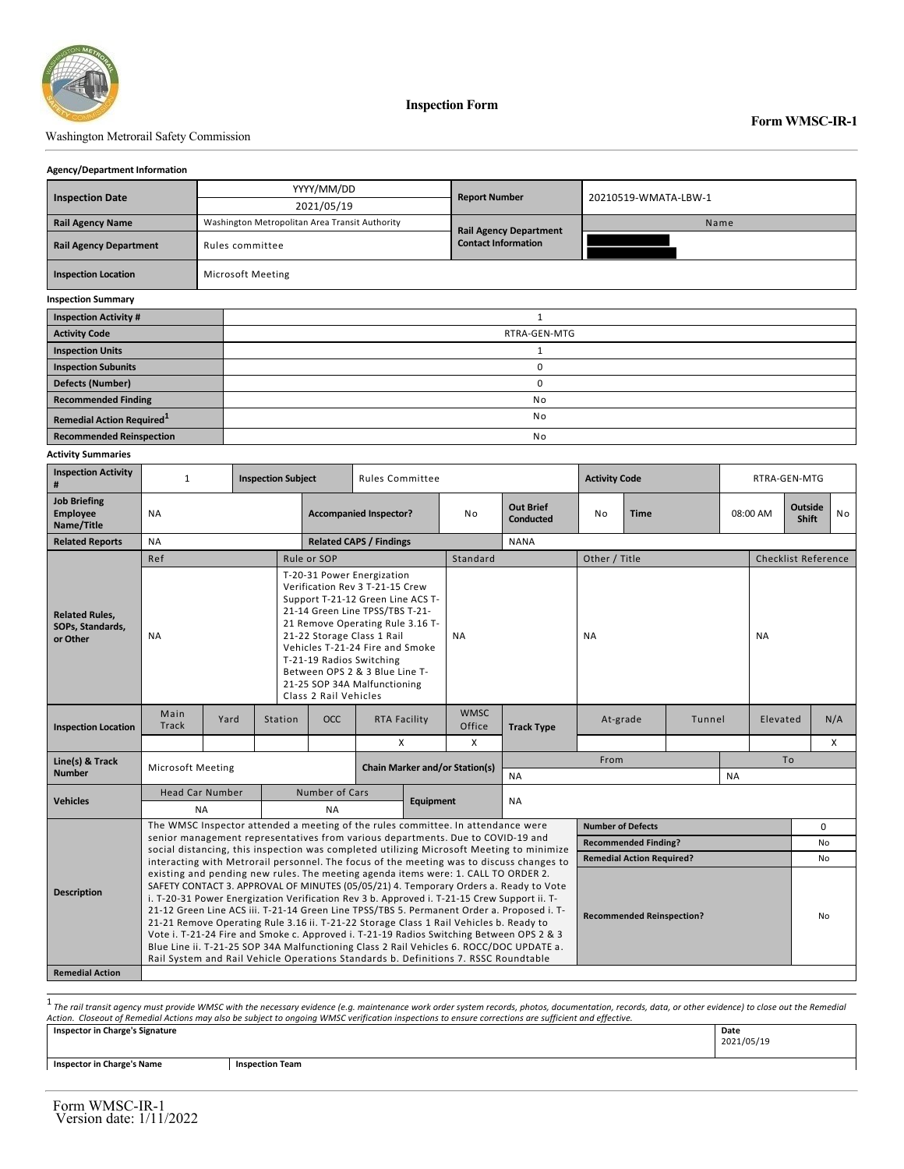

**Inspection Form**

## Washington Metrorail Safety Commission

## **Form WMSC-IR-1**

٦

#### **Agency/Department Information**

| <b>Inspection Date</b>                | YYYY/MM/DD                                     | <b>Report Number</b>          | 20210519-WMATA-LBW-1 |  |  |  |  |  |
|---------------------------------------|------------------------------------------------|-------------------------------|----------------------|--|--|--|--|--|
|                                       | 2021/05/19                                     |                               |                      |  |  |  |  |  |
| <b>Rail Agency Name</b>               | Washington Metropolitan Area Transit Authority | <b>Rail Agency Department</b> | Name                 |  |  |  |  |  |
| <b>Rail Agency Department</b>         | Rules committee                                | <b>Contact Information</b>    |                      |  |  |  |  |  |
| <b>Inspection Location</b>            | Microsoft Meeting                              |                               |                      |  |  |  |  |  |
| <b>Inspection Summary</b>             |                                                |                               |                      |  |  |  |  |  |
| <b>Inspection Activity #</b>          |                                                |                               |                      |  |  |  |  |  |
| <b>Activity Code</b>                  |                                                | RTRA-GEN-MTG                  |                      |  |  |  |  |  |
| <b>Inspection Units</b>               |                                                |                               |                      |  |  |  |  |  |
| <b>Inspection Subunits</b>            |                                                | 0                             |                      |  |  |  |  |  |
| <b>Defects (Number)</b>               | 0                                              |                               |                      |  |  |  |  |  |
| <b>Recommended Finding</b>            |                                                | No                            |                      |  |  |  |  |  |
| Remedial Action Required <sup>1</sup> |                                                | No                            |                      |  |  |  |  |  |
| <b>Recommended Reinspection</b>       | No                                             |                               |                      |  |  |  |  |  |

#### **Activity Summaries**

| <b>Inspection Activity</b><br>#                       | $\mathbf{1}$                                                                                                                                                                                                                                                                                                                                                                                                                                                                                                                                                                                                                                                                                                                                                                                |      | <b>Inspection Subject</b><br><b>Rules Committee</b> |                                                                                                                                                                                                                                                                                                                                                                   |                                                    |                       |                                      | <b>Activity Code</b> |                                  |          | RTRA-GEN-MTG |                         |                            |          |   |
|-------------------------------------------------------|---------------------------------------------------------------------------------------------------------------------------------------------------------------------------------------------------------------------------------------------------------------------------------------------------------------------------------------------------------------------------------------------------------------------------------------------------------------------------------------------------------------------------------------------------------------------------------------------------------------------------------------------------------------------------------------------------------------------------------------------------------------------------------------------|------|-----------------------------------------------------|-------------------------------------------------------------------------------------------------------------------------------------------------------------------------------------------------------------------------------------------------------------------------------------------------------------------------------------------------------------------|----------------------------------------------------|-----------------------|--------------------------------------|----------------------|----------------------------------|----------|--------------|-------------------------|----------------------------|----------|---|
| <b>Job Briefing</b><br>Employee<br>Name/Title         | <b>NA</b>                                                                                                                                                                                                                                                                                                                                                                                                                                                                                                                                                                                                                                                                                                                                                                                   |      |                                                     | <b>Accompanied Inspector?</b>                                                                                                                                                                                                                                                                                                                                     |                                                    | No                    | <b>Out Brief</b><br><b>Conducted</b> | No<br><b>Time</b>    |                                  | 08:00 AM |              | Outside<br><b>Shift</b> | <b>No</b>                  |          |   |
| <b>Related Reports</b>                                | <b>NA</b>                                                                                                                                                                                                                                                                                                                                                                                                                                                                                                                                                                                                                                                                                                                                                                                   |      |                                                     | <b>Related CAPS / Findings</b>                                                                                                                                                                                                                                                                                                                                    |                                                    |                       |                                      | <b>NANA</b>          |                                  |          |              |                         |                            |          |   |
|                                                       | Ref                                                                                                                                                                                                                                                                                                                                                                                                                                                                                                                                                                                                                                                                                                                                                                                         |      |                                                     | Rule or SOP                                                                                                                                                                                                                                                                                                                                                       |                                                    |                       | Standard                             |                      | Other / Title                    |          |              |                         | <b>Checklist Reference</b> |          |   |
| <b>Related Rules,</b><br>SOPs, Standards,<br>or Other | <b>NA</b>                                                                                                                                                                                                                                                                                                                                                                                                                                                                                                                                                                                                                                                                                                                                                                                   |      |                                                     | T-20-31 Power Energization<br>Verification Rev 3 T-21-15 Crew<br>Support T-21-12 Green Line ACS T-<br>21-14 Green Line TPSS/TBS T-21-<br>21 Remove Operating Rule 3.16 T-<br>21-22 Storage Class 1 Rail<br>Vehicles T-21-24 Fire and Smoke<br>T-21-19 Radios Switching<br>Between OPS 2 & 3 Blue Line T-<br>21-25 SOP 34A Malfunctioning<br>Class 2 Rail Vehicles |                                                    | <b>NA</b>             |                                      | <b>NA</b>            |                                  |          |              | <b>NA</b>               |                            |          |   |
| <b>Inspection Location</b>                            | Main<br><b>Track</b>                                                                                                                                                                                                                                                                                                                                                                                                                                                                                                                                                                                                                                                                                                                                                                        | Yard | Station                                             | <b>OCC</b><br><b>RTA Facility</b>                                                                                                                                                                                                                                                                                                                                 |                                                    | <b>WMSC</b><br>Office | <b>Track Type</b>                    | At-grade<br>Tunnel   |                                  |          | Elevated     |                         | N/A                        |          |   |
|                                                       |                                                                                                                                                                                                                                                                                                                                                                                                                                                                                                                                                                                                                                                                                                                                                                                             |      |                                                     |                                                                                                                                                                                                                                                                                                                                                                   | X                                                  |                       | X                                    |                      |                                  |          |              |                         |                            |          | X |
| Line(s) & Track<br><b>Number</b>                      | <b>Microsoft Meeting</b>                                                                                                                                                                                                                                                                                                                                                                                                                                                                                                                                                                                                                                                                                                                                                                    |      |                                                     |                                                                                                                                                                                                                                                                                                                                                                   | <b>Chain Marker and/or Station(s)</b><br><b>NA</b> |                       |                                      |                      | From<br><b>NA</b>                |          |              |                         | T <sub>o</sub>             |          |   |
|                                                       | <b>Head Car Number</b>                                                                                                                                                                                                                                                                                                                                                                                                                                                                                                                                                                                                                                                                                                                                                                      |      |                                                     | Number of Cars                                                                                                                                                                                                                                                                                                                                                    |                                                    |                       |                                      |                      |                                  |          |              |                         |                            |          |   |
| <b>Vehicles</b>                                       | <b>NA</b>                                                                                                                                                                                                                                                                                                                                                                                                                                                                                                                                                                                                                                                                                                                                                                                   |      |                                                     | <b>Equipment</b><br><b>NA</b>                                                                                                                                                                                                                                                                                                                                     |                                                    |                       | <b>NA</b>                            |                      |                                  |          |              |                         |                            |          |   |
|                                                       | The WMSC Inspector attended a meeting of the rules committee. In attendance were<br>senior management representatives from various departments. Due to COVID-19 and                                                                                                                                                                                                                                                                                                                                                                                                                                                                                                                                                                                                                         |      |                                                     |                                                                                                                                                                                                                                                                                                                                                                   |                                                    |                       |                                      |                      | <b>Number of Defects</b>         |          |              |                         |                            | $\Omega$ |   |
|                                                       |                                                                                                                                                                                                                                                                                                                                                                                                                                                                                                                                                                                                                                                                                                                                                                                             |      |                                                     |                                                                                                                                                                                                                                                                                                                                                                   |                                                    |                       |                                      |                      | <b>Recommended Finding?</b>      |          |              |                         |                            | No       |   |
|                                                       | social distancing, this inspection was completed utilizing Microsoft Meeting to minimize<br>interacting with Metrorail personnel. The focus of the meeting was to discuss changes to                                                                                                                                                                                                                                                                                                                                                                                                                                                                                                                                                                                                        |      |                                                     |                                                                                                                                                                                                                                                                                                                                                                   |                                                    |                       |                                      |                      | <b>Remedial Action Required?</b> |          |              |                         | No                         |          |   |
| <b>Description</b>                                    | existing and pending new rules. The meeting agenda items were: 1. CALL TO ORDER 2.<br>SAFETY CONTACT 3. APPROVAL OF MINUTES (05/05/21) 4. Temporary Orders a. Ready to Vote<br>i. T-20-31 Power Energization Verification Rev 3 b. Approved i. T-21-15 Crew Support ii. T-<br>21-12 Green Line ACS iii. T-21-14 Green Line TPSS/TBS 5. Permanent Order a. Proposed i. T-<br><b>Recommended Reinspection?</b><br>No<br>21-21 Remove Operating Rule 3.16 ii. T-21-22 Storage Class 1 Rail Vehicles b. Ready to<br>Vote i. T-21-24 Fire and Smoke c. Approved i. T-21-19 Radios Switching Between OPS 2 & 3<br>Blue Line ii. T-21-25 SOP 34A Malfunctioning Class 2 Rail Vehicles 6. ROCC/DOC UPDATE a.<br>Rail System and Rail Vehicle Operations Standards b. Definitions 7. RSSC Roundtable |      |                                                     |                                                                                                                                                                                                                                                                                                                                                                   |                                                    |                       |                                      |                      |                                  |          |              |                         |                            |          |   |
| <b>Remedial Action</b>                                |                                                                                                                                                                                                                                                                                                                                                                                                                                                                                                                                                                                                                                                                                                                                                                                             |      |                                                     |                                                                                                                                                                                                                                                                                                                                                                   |                                                    |                       |                                      |                      |                                  |          |              |                         |                            |          |   |

.<br>The rail transit agency must provide WMSC with the necessary evidence (e.g. maintenance work order system records, photos, documentation, records, data, or other evidence) to close out the Remedial (and alternation) are

| <b>Inspector in Charge's Signature</b> |                        | Date<br>.<br>2021/05/19 |
|----------------------------------------|------------------------|-------------------------|
| <b>Inspector in Charge's Name</b>      | <b>Inspection Team</b> |                         |